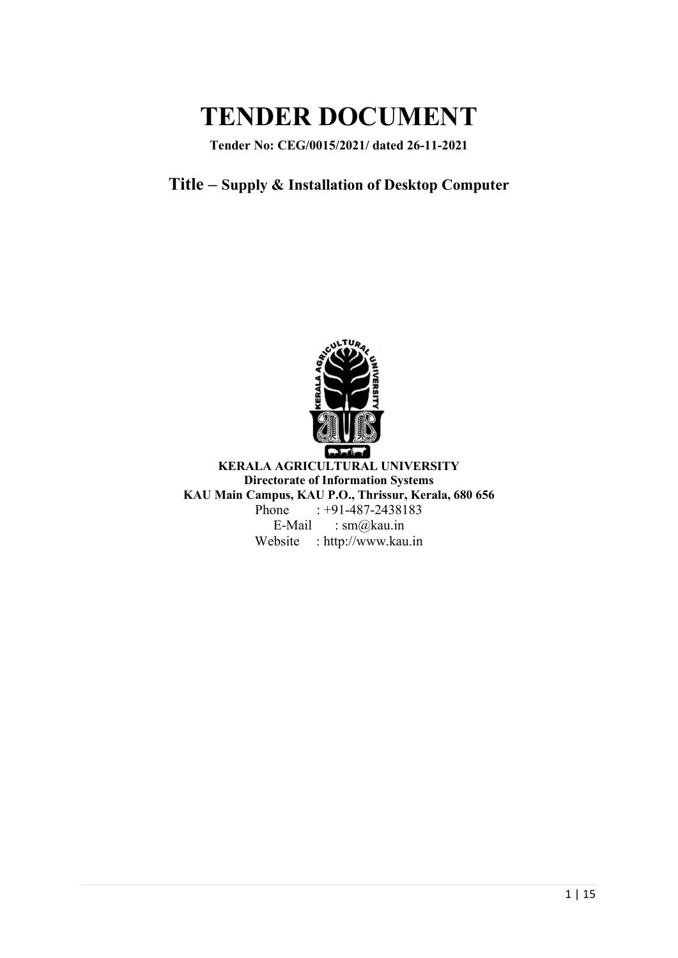# TENDER DOCUMENT

Tender No: CEG/0015/2021/ dated 26-11-2021

# Title – Supply & Installation of Desktop Computer



KERALA AGRICULTURAL UNIVERSITY Directorate of Information Systems KAU Main Campus, KAU P.O., Thrissur, Kerala, 680 656 Phone : +91-487-2438183 E-Mail : sm@kau.in Website : http://www.kau.in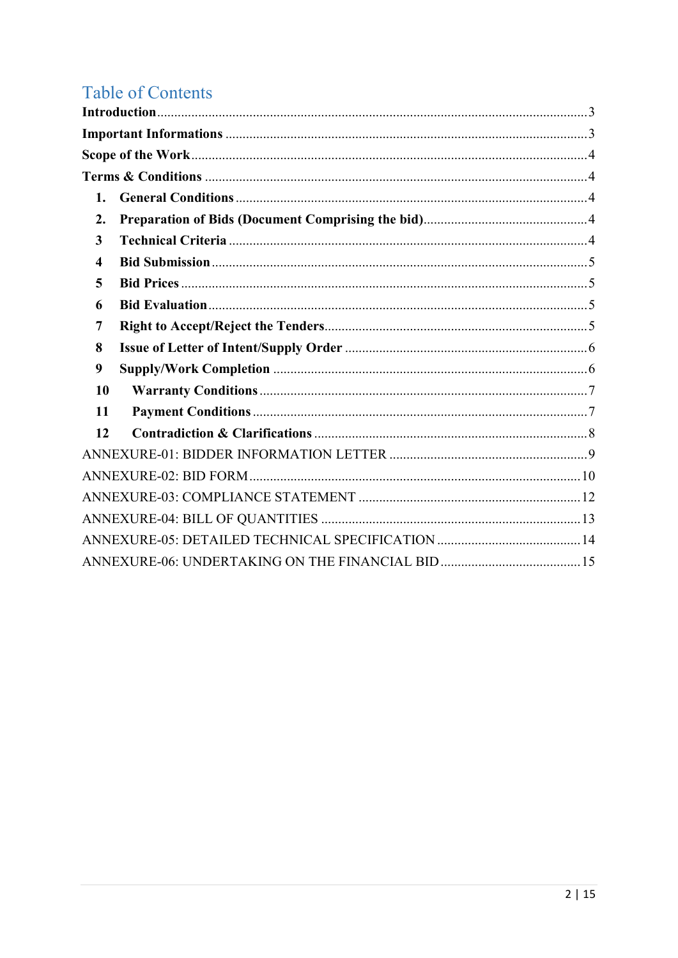# **Table of Contents**

| 1. |  |
|----|--|
| 2. |  |
| 3  |  |
| 4  |  |
| 5  |  |
| 6  |  |
| 7  |  |
| 8  |  |
| 9  |  |
| 10 |  |
| 11 |  |
| 12 |  |
|    |  |
|    |  |
|    |  |
|    |  |
|    |  |
|    |  |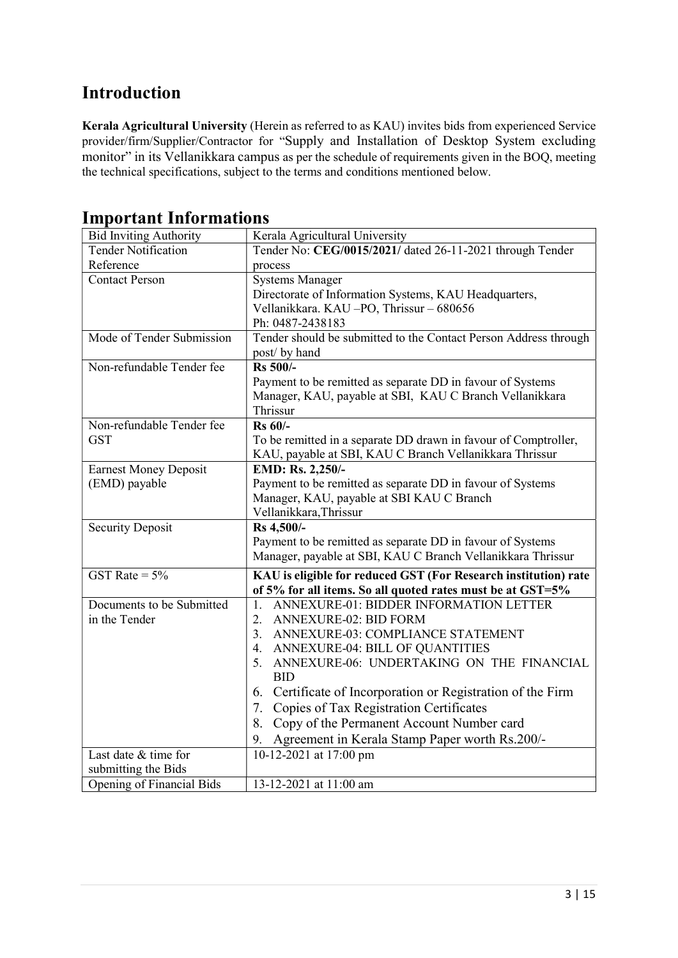# Introduction

Kerala Agricultural University (Herein as referred to as KAU) invites bids from experienced Service provider/firm/Supplier/Contractor for "Supply and Installation of Desktop System excluding monitor" in its Vellanikkara campus as per the schedule of requirements given in the BOQ, meeting the technical specifications, subject to the terms and conditions mentioned below.

| <b>Bid Inviting Authority</b> | Kerala Agricultural University                                   |
|-------------------------------|------------------------------------------------------------------|
| <b>Tender Notification</b>    | Tender No: CEG/0015/2021/ dated 26-11-2021 through Tender        |
| Reference                     | process                                                          |
| <b>Contact Person</b>         | <b>Systems Manager</b>                                           |
|                               | Directorate of Information Systems, KAU Headquarters,            |
|                               | Vellanikkara. KAU-PO, Thrissur - 680656                          |
|                               | Ph: 0487-2438183                                                 |
| Mode of Tender Submission     | Tender should be submitted to the Contact Person Address through |
|                               | post/ by hand                                                    |
| Non-refundable Tender fee     | $\overline{\text{Rs }500}$ /-                                    |
|                               | Payment to be remitted as separate DD in favour of Systems       |
|                               | Manager, KAU, payable at SBI, KAU C Branch Vellanikkara          |
|                               | Thrissur                                                         |
| Non-refundable Tender fee     | <b>Rs 60/-</b>                                                   |
| <b>GST</b>                    | To be remitted in a separate DD drawn in favour of Comptroller,  |
|                               | KAU, payable at SBI, KAU C Branch Vellanikkara Thrissur          |
| <b>Earnest Money Deposit</b>  | EMD: Rs. 2,250/-                                                 |
| (EMD) payable                 | Payment to be remitted as separate DD in favour of Systems       |
|                               | Manager, KAU, payable at SBI KAU C Branch                        |
|                               | Vellanikkara, Thrissur                                           |
| <b>Security Deposit</b>       | Rs 4,500/-                                                       |
|                               | Payment to be remitted as separate DD in favour of Systems       |
|                               | Manager, payable at SBI, KAU C Branch Vellanikkara Thrissur      |
| GST Rate = $5\%$              | KAU is eligible for reduced GST (For Research institution) rate  |
|                               | of 5% for all items. So all quoted rates must be at GST=5%       |
| Documents to be Submitted     | ANNEXURE-01: BIDDER INFORMATION LETTER<br>1.                     |
| in the Tender                 | 2.<br><b>ANNEXURE-02: BID FORM</b>                               |
|                               | 3.<br>ANNEXURE-03: COMPLIANCE STATEMENT                          |
|                               | ANNEXURE-04: BILL OF QUANTITIES<br>4.                            |
|                               | ANNEXURE-06: UNDERTAKING ON THE FINANCIAL<br>5.                  |
|                               | <b>BID</b>                                                       |
|                               | 6. Certificate of Incorporation or Registration of the Firm      |
|                               | Copies of Tax Registration Certificates<br>7.                    |
|                               | Copy of the Permanent Account Number card<br>8.                  |
|                               | Agreement in Kerala Stamp Paper worth Rs.200/-<br>9.             |
| Last date & time for          | 10-12-2021 at 17:00 pm                                           |
| submitting the Bids           |                                                                  |
| Opening of Financial Bids     | 13-12-2021 at 11:00 am                                           |

# Important Informations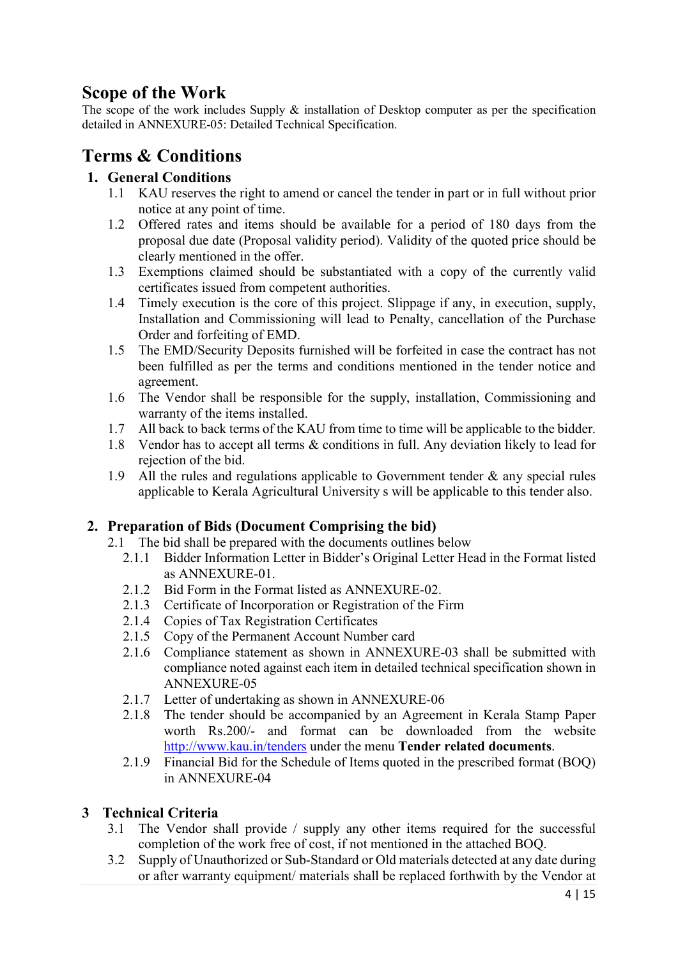# Scope of the Work

The scope of the work includes Supply & installation of Desktop computer as per the specification detailed in ANNEXURE-05: Detailed Technical Specification.

# Terms & Conditions

#### 1. General Conditions

- 1.1 KAU reserves the right to amend or cancel the tender in part or in full without prior notice at any point of time.
- 1.2 Offered rates and items should be available for a period of 180 days from the proposal due date (Proposal validity period). Validity of the quoted price should be clearly mentioned in the offer.
- 1.3 Exemptions claimed should be substantiated with a copy of the currently valid certificates issued from competent authorities.
- 1.4 Timely execution is the core of this project. Slippage if any, in execution, supply, Installation and Commissioning will lead to Penalty, cancellation of the Purchase Order and forfeiting of EMD.
- 1.5 The EMD/Security Deposits furnished will be forfeited in case the contract has not been fulfilled as per the terms and conditions mentioned in the tender notice and agreement.
- 1.6 The Vendor shall be responsible for the supply, installation, Commissioning and warranty of the items installed.
- 1.7 All back to back terms of the KAU from time to time will be applicable to the bidder.
- 1.8 Vendor has to accept all terms & conditions in full. Any deviation likely to lead for rejection of the bid.
- 1.9 All the rules and regulations applicable to Government tender  $\&$  any special rules applicable to Kerala Agricultural University s will be applicable to this tender also.

#### 2. Preparation of Bids (Document Comprising the bid)

- 2.1 The bid shall be prepared with the documents outlines below
	- 2.1.1 Bidder Information Letter in Bidder's Original Letter Head in the Format listed as ANNEXURE-01.
	- 2.1.2 Bid Form in the Format listed as ANNEXURE-02.
	- 2.1.3 Certificate of Incorporation or Registration of the Firm
	- 2.1.4 Copies of Tax Registration Certificates
	- 2.1.5 Copy of the Permanent Account Number card
	- 2.1.6 Compliance statement as shown in ANNEXURE-03 shall be submitted with compliance noted against each item in detailed technical specification shown in ANNEXURE-05
	- 2.1.7 Letter of undertaking as shown in ANNEXURE-06
	- 2.1.8 The tender should be accompanied by an Agreement in Kerala Stamp Paper worth Rs.200/- and format can be downloaded from the website http://www.kau.in/tenders under the menu Tender related documents.
	- 2.1.9 Financial Bid for the Schedule of Items quoted in the prescribed format (BOQ) in ANNEXURE-04

#### 3 Technical Criteria

- 3.1 The Vendor shall provide / supply any other items required for the successful completion of the work free of cost, if not mentioned in the attached BOQ.
- 3.2 Supply of Unauthorized or Sub-Standard or Old materials detected at any date during or after warranty equipment/ materials shall be replaced forthwith by the Vendor at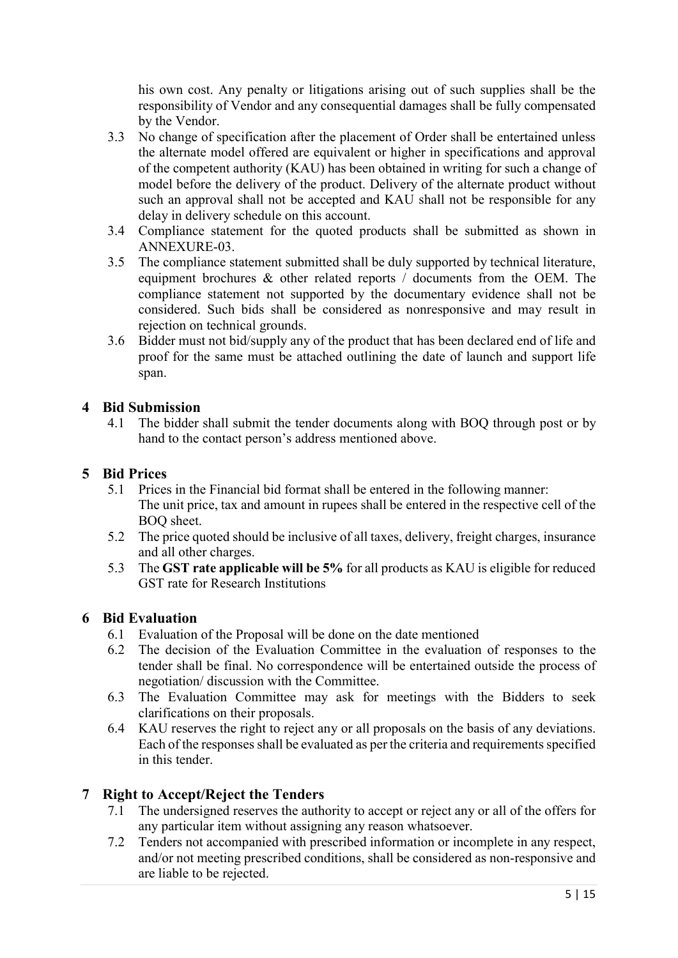his own cost. Any penalty or litigations arising out of such supplies shall be the responsibility of Vendor and any consequential damages shall be fully compensated by the Vendor.

- 3.3 No change of specification after the placement of Order shall be entertained unless the alternate model offered are equivalent or higher in specifications and approval of the competent authority (KAU) has been obtained in writing for such a change of model before the delivery of the product. Delivery of the alternate product without such an approval shall not be accepted and KAU shall not be responsible for any delay in delivery schedule on this account.
- 3.4 Compliance statement for the quoted products shall be submitted as shown in ANNEXURE-03.
- 3.5 The compliance statement submitted shall be duly supported by technical literature, equipment brochures & other related reports / documents from the OEM. The compliance statement not supported by the documentary evidence shall not be considered. Such bids shall be considered as nonresponsive and may result in rejection on technical grounds.
- 3.6 Bidder must not bid/supply any of the product that has been declared end of life and proof for the same must be attached outlining the date of launch and support life span.

#### 4 Bid Submission

4.1 The bidder shall submit the tender documents along with BOQ through post or by hand to the contact person's address mentioned above.

#### 5 Bid Prices

- 5.1 Prices in the Financial bid format shall be entered in the following manner: The unit price, tax and amount in rupees shall be entered in the respective cell of the BOQ sheet.
- 5.2 The price quoted should be inclusive of all taxes, delivery, freight charges, insurance and all other charges.
- 5.3 The GST rate applicable will be 5% for all products as KAU is eligible for reduced GST rate for Research Institutions

#### 6 Bid Evaluation

- 6.1 Evaluation of the Proposal will be done on the date mentioned
- 6.2 The decision of the Evaluation Committee in the evaluation of responses to the tender shall be final. No correspondence will be entertained outside the process of negotiation/ discussion with the Committee.
- 6.3 The Evaluation Committee may ask for meetings with the Bidders to seek clarifications on their proposals.
- 6.4 KAU reserves the right to reject any or all proposals on the basis of any deviations. Each of the responses shall be evaluated as per the criteria and requirements specified in this tender.

#### 7 Right to Accept/Reject the Tenders

- 7.1 The undersigned reserves the authority to accept or reject any or all of the offers for any particular item without assigning any reason whatsoever.
- 7.2 Tenders not accompanied with prescribed information or incomplete in any respect, and/or not meeting prescribed conditions, shall be considered as non-responsive and are liable to be rejected.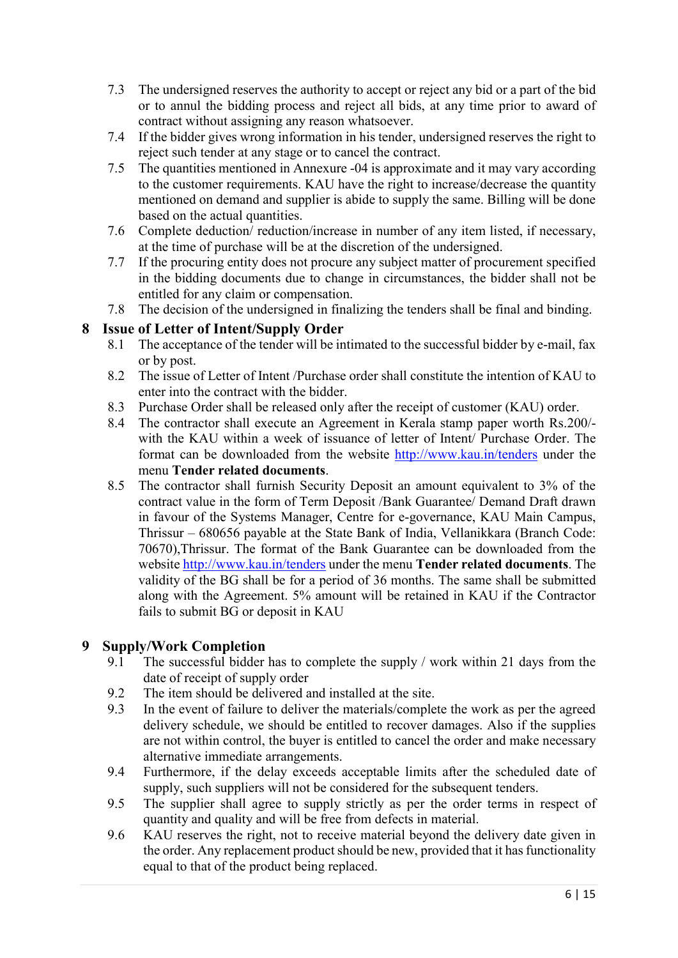- 7.3 The undersigned reserves the authority to accept or reject any bid or a part of the bid or to annul the bidding process and reject all bids, at any time prior to award of contract without assigning any reason whatsoever.
- 7.4 If the bidder gives wrong information in his tender, undersigned reserves the right to reject such tender at any stage or to cancel the contract.
- 7.5 The quantities mentioned in Annexure -04 is approximate and it may vary according to the customer requirements. KAU have the right to increase/decrease the quantity mentioned on demand and supplier is abide to supply the same. Billing will be done based on the actual quantities.
- 7.6 Complete deduction/ reduction/increase in number of any item listed, if necessary, at the time of purchase will be at the discretion of the undersigned.
- 7.7 If the procuring entity does not procure any subject matter of procurement specified in the bidding documents due to change in circumstances, the bidder shall not be entitled for any claim or compensation.
- 7.8 The decision of the undersigned in finalizing the tenders shall be final and binding.

#### 8 Issue of Letter of Intent/Supply Order

- 8.1 The acceptance of the tender will be intimated to the successful bidder by e-mail, fax or by post.
- 8.2 The issue of Letter of Intent /Purchase order shall constitute the intention of KAU to enter into the contract with the bidder.
- 8.3 Purchase Order shall be released only after the receipt of customer (KAU) order.
- 8.4 The contractor shall execute an Agreement in Kerala stamp paper worth Rs.200/ with the KAU within a week of issuance of letter of Intent/ Purchase Order. The format can be downloaded from the website http://www.kau.in/tenders under the menu Tender related documents.
- 8.5 The contractor shall furnish Security Deposit an amount equivalent to 3% of the contract value in the form of Term Deposit /Bank Guarantee/ Demand Draft drawn in favour of the Systems Manager, Centre for e-governance, KAU Main Campus, Thrissur – 680656 payable at the State Bank of India, Vellanikkara (Branch Code: 70670),Thrissur. The format of the Bank Guarantee can be downloaded from the website http://www.kau.in/tenders under the menu Tender related documents. The validity of the BG shall be for a period of 36 months. The same shall be submitted along with the Agreement. 5% amount will be retained in KAU if the Contractor fails to submit BG or deposit in KAU

#### 9 Supply/Work Completion

- 9.1 The successful bidder has to complete the supply / work within 21 days from the date of receipt of supply order
- 9.2 The item should be delivered and installed at the site.
- 9.3 In the event of failure to deliver the materials/complete the work as per the agreed delivery schedule, we should be entitled to recover damages. Also if the supplies are not within control, the buyer is entitled to cancel the order and make necessary alternative immediate arrangements.
- 9.4 Furthermore, if the delay exceeds acceptable limits after the scheduled date of supply, such suppliers will not be considered for the subsequent tenders.
- 9.5 The supplier shall agree to supply strictly as per the order terms in respect of quantity and quality and will be free from defects in material.
- 9.6 KAU reserves the right, not to receive material beyond the delivery date given in the order. Any replacement product should be new, provided that it has functionality equal to that of the product being replaced.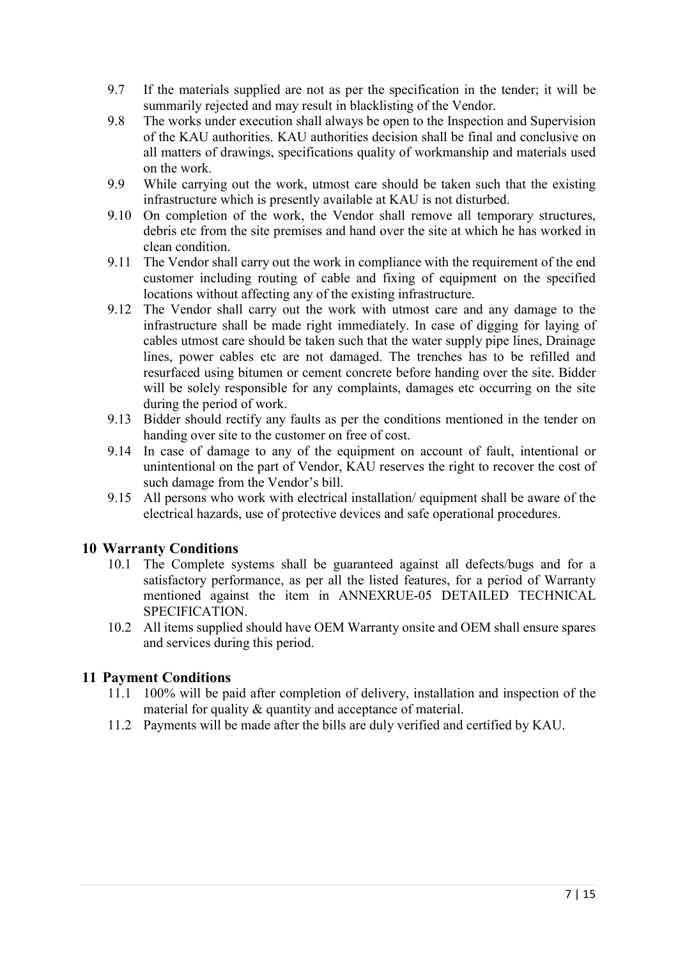- 9.7 If the materials supplied are not as per the specification in the tender; it will be summarily rejected and may result in blacklisting of the Vendor.
- 9.8 The works under execution shall always be open to the Inspection and Supervision of the KAU authorities. KAU authorities decision shall be final and conclusive on all matters of drawings, specifications quality of workmanship and materials used on the work.
- 9.9 While carrying out the work, utmost care should be taken such that the existing infrastructure which is presently available at KAU is not disturbed.
- 9.10 On completion of the work, the Vendor shall remove all temporary structures, debris etc from the site premises and hand over the site at which he has worked in clean condition.
- 9.11 The Vendor shall carry out the work in compliance with the requirement of the end customer including routing of cable and fixing of equipment on the specified locations without affecting any of the existing infrastructure.
- 9.12 The Vendor shall carry out the work with utmost care and any damage to the infrastructure shall be made right immediately. In case of digging for laying of cables utmost care should be taken such that the water supply pipe lines, Drainage lines, power cables etc are not damaged. The trenches has to be refilled and resurfaced using bitumen or cement concrete before handing over the site. Bidder will be solely responsible for any complaints, damages etc occurring on the site during the period of work.
- 9.13 Bidder should rectify any faults as per the conditions mentioned in the tender on handing over site to the customer on free of cost.
- 9.14 In case of damage to any of the equipment on account of fault, intentional or unintentional on the part of Vendor, KAU reserves the right to recover the cost of such damage from the Vendor's bill.
- 9.15 All persons who work with electrical installation/ equipment shall be aware of the electrical hazards, use of protective devices and safe operational procedures.

#### 10 Warranty Conditions

- 10.1 The Complete systems shall be guaranteed against all defects/bugs and for a satisfactory performance, as per all the listed features, for a period of Warranty mentioned against the item in ANNEXRUE-05 DETAILED TECHNICAL SPECIFICATION.
- 10.2 All items supplied should have OEM Warranty onsite and OEM shall ensure spares and services during this period.

#### 11 Payment Conditions

- 11.1 100% will be paid after completion of delivery, installation and inspection of the material for quality & quantity and acceptance of material.
- 11.2 Payments will be made after the bills are duly verified and certified by KAU.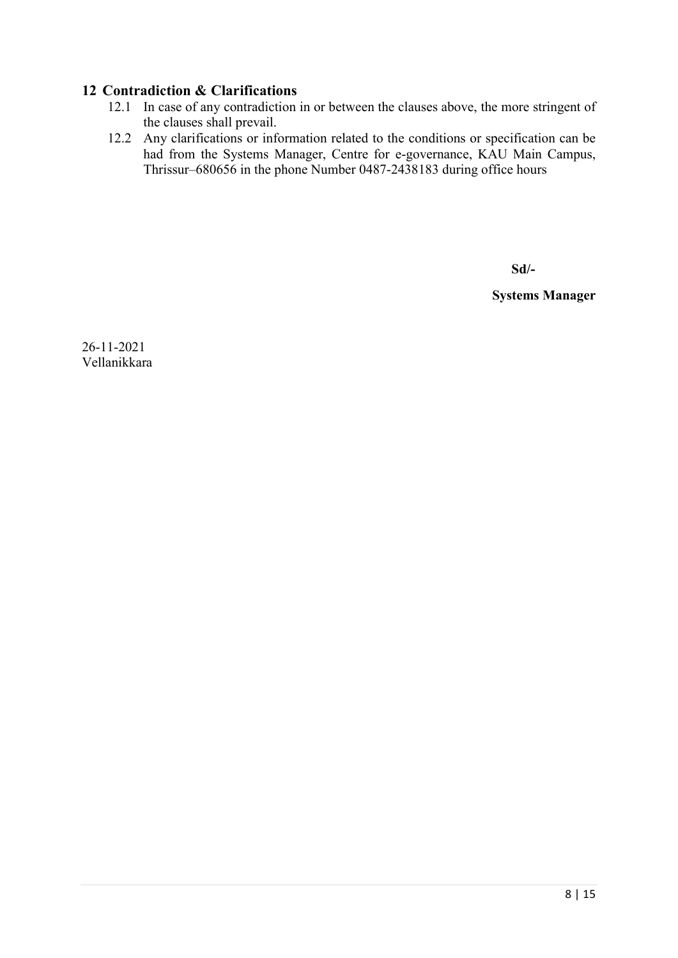#### 12 Contradiction & Clarifications

- 12.1 In case of any contradiction in or between the clauses above, the more stringent of the clauses shall prevail.
- 12.2 Any clarifications or information related to the conditions or specification can be had from the Systems Manager, Centre for e-governance, KAU Main Campus, Thrissur–680656 in the phone Number 0487-2438183 during office hours

Sd/-

Systems Manager

26-11-2021 Vellanikkara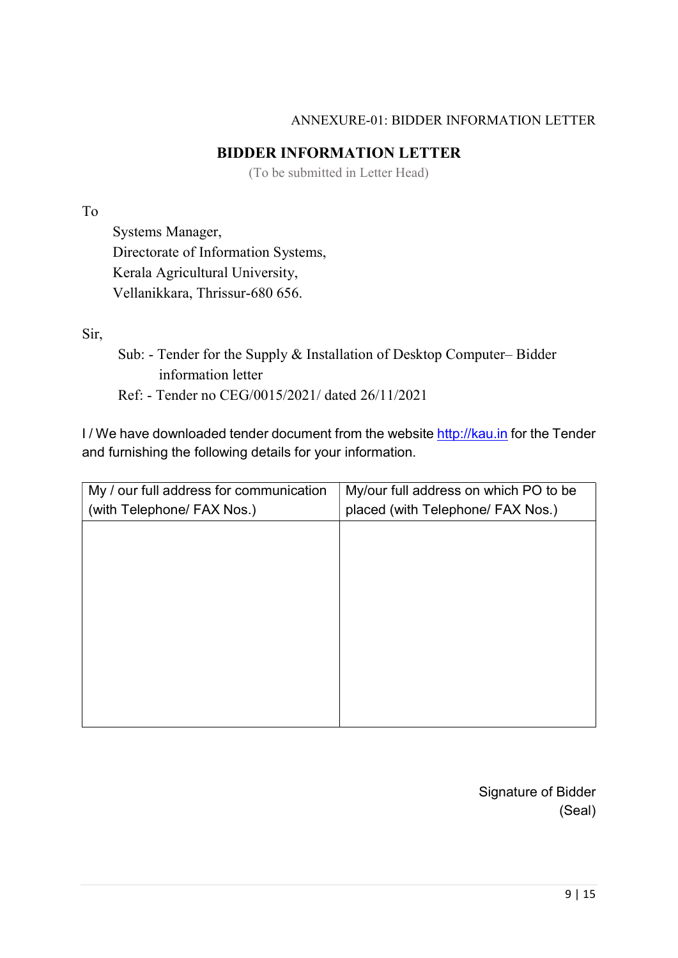#### ANNEXURE-01: BIDDER INFORMATION LETTER

#### BIDDER INFORMATION LETTER

(To be submitted in Letter Head)

#### To

Systems Manager, Directorate of Information Systems, Kerala Agricultural University, Vellanikkara, Thrissur-680 656.

Sir,

- Sub: Tender for the Supply & Installation of Desktop Computer– Bidder information letter
- Ref: Tender no CEG/0015/2021/ dated 26/11/2021

I / We have downloaded tender document from the website http://kau.in for the Tender and furnishing the following details for your information.

| My / our full address for communication<br>(with Telephone/ FAX Nos.) | My/our full address on which PO to be<br>placed (with Telephone/ FAX Nos.) |
|-----------------------------------------------------------------------|----------------------------------------------------------------------------|
|                                                                       |                                                                            |
|                                                                       |                                                                            |
|                                                                       |                                                                            |
|                                                                       |                                                                            |
|                                                                       |                                                                            |
|                                                                       |                                                                            |

Signature of Bidder (Seal)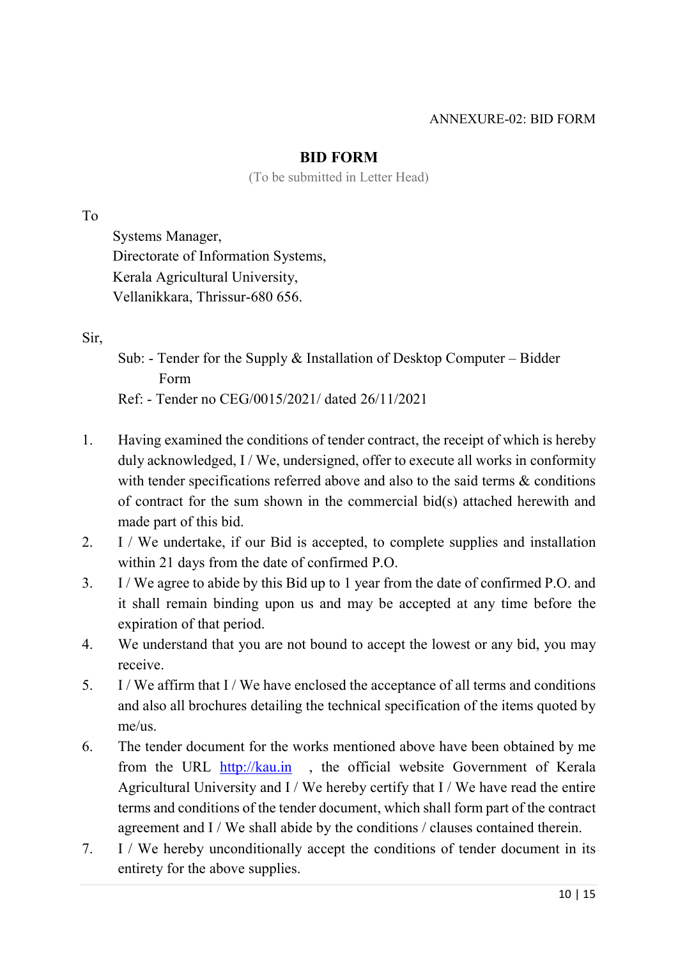#### ANNEXURE-02: BID FORM

#### BID FORM

(To be submitted in Letter Head)

To

Systems Manager, Directorate of Information Systems, Kerala Agricultural University, Vellanikkara, Thrissur-680 656.

Sir,

- Sub: Tender for the Supply & Installation of Desktop Computer Bidder Form Ref: - Tender no CEG/0015/2021/ dated 26/11/2021
- 1. Having examined the conditions of tender contract, the receipt of which is hereby duly acknowledged, I / We, undersigned, offer to execute all works in conformity with tender specifications referred above and also to the said terms  $\&$  conditions of contract for the sum shown in the commercial bid(s) attached herewith and made part of this bid.
- 2. I / We undertake, if our Bid is accepted, to complete supplies and installation within 21 days from the date of confirmed P.O.
- 3. I / We agree to abide by this Bid up to 1 year from the date of confirmed P.O. and it shall remain binding upon us and may be accepted at any time before the expiration of that period.
- 4. We understand that you are not bound to accept the lowest or any bid, you may receive.
- 5. I / We affirm that I / We have enclosed the acceptance of all terms and conditions and also all brochures detailing the technical specification of the items quoted by me/us.
- 6. The tender document for the works mentioned above have been obtained by me from the URL http://kau.in , the official website Government of Kerala Agricultural University and  $I / We$  hereby certify that  $I / We$  have read the entire terms and conditions of the tender document, which shall form part of the contract agreement and I / We shall abide by the conditions / clauses contained therein.
- 7. I / We hereby unconditionally accept the conditions of tender document in its entirety for the above supplies.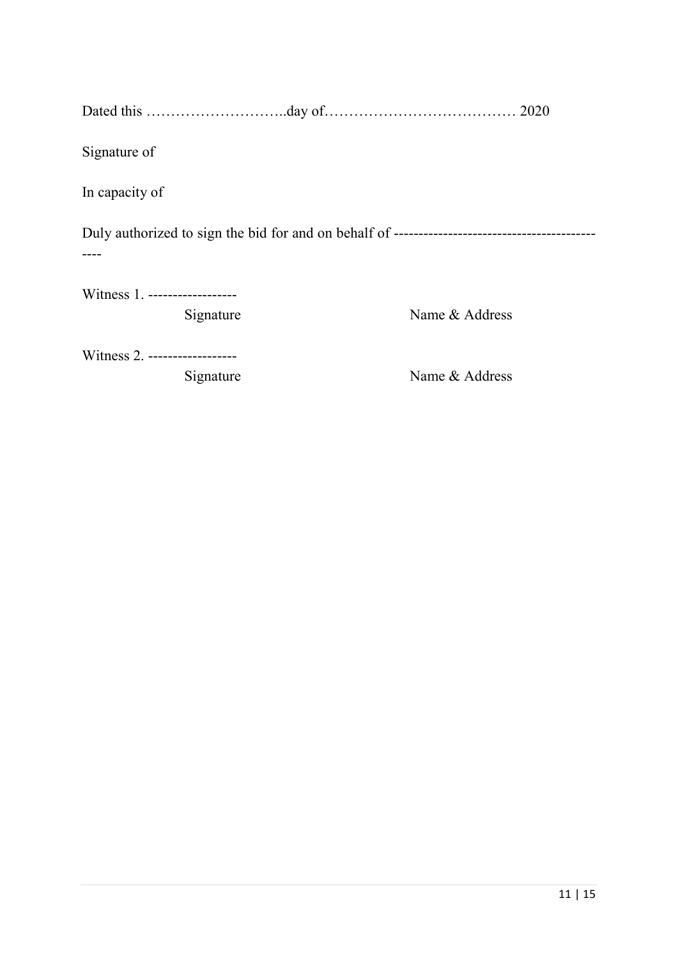| Signature of                               |                |
|--------------------------------------------|----------------|
| In capacity of                             |                |
|                                            |                |
| Witness 1. ------------------<br>Signature | Name & Address |
| Witness 2. ------------------<br>Signature | Name & Address |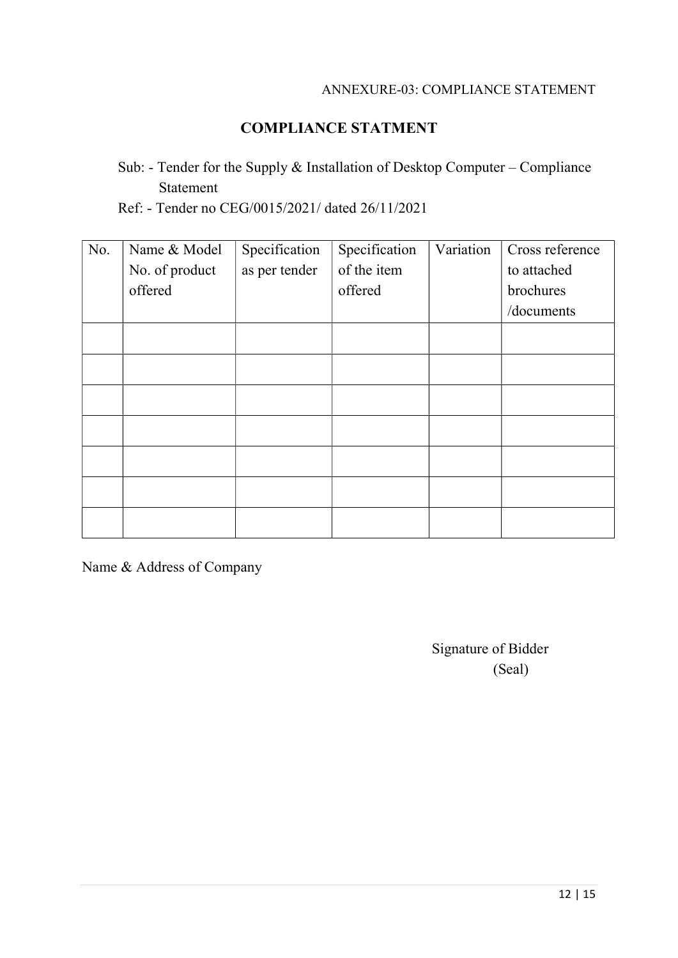#### ANNEXURE-03: COMPLIANCE STATEMENT

# COMPLIANCE STATMENT

# Sub: - Tender for the Supply & Installation of Desktop Computer – Compliance Statement

Ref: - Tender no CEG/0015/2021/ dated 26/11/2021

| No. | Name & Model   | Specification | Specification | Variation | Cross reference |
|-----|----------------|---------------|---------------|-----------|-----------------|
|     | No. of product | as per tender | of the item   |           | to attached     |
|     | offered        |               | offered       |           | brochures       |
|     |                |               |               |           | /documents      |
|     |                |               |               |           |                 |
|     |                |               |               |           |                 |
|     |                |               |               |           |                 |
|     |                |               |               |           |                 |
|     |                |               |               |           |                 |
|     |                |               |               |           |                 |
|     |                |               |               |           |                 |

Name & Address of Company

Signature of Bidder (Seal)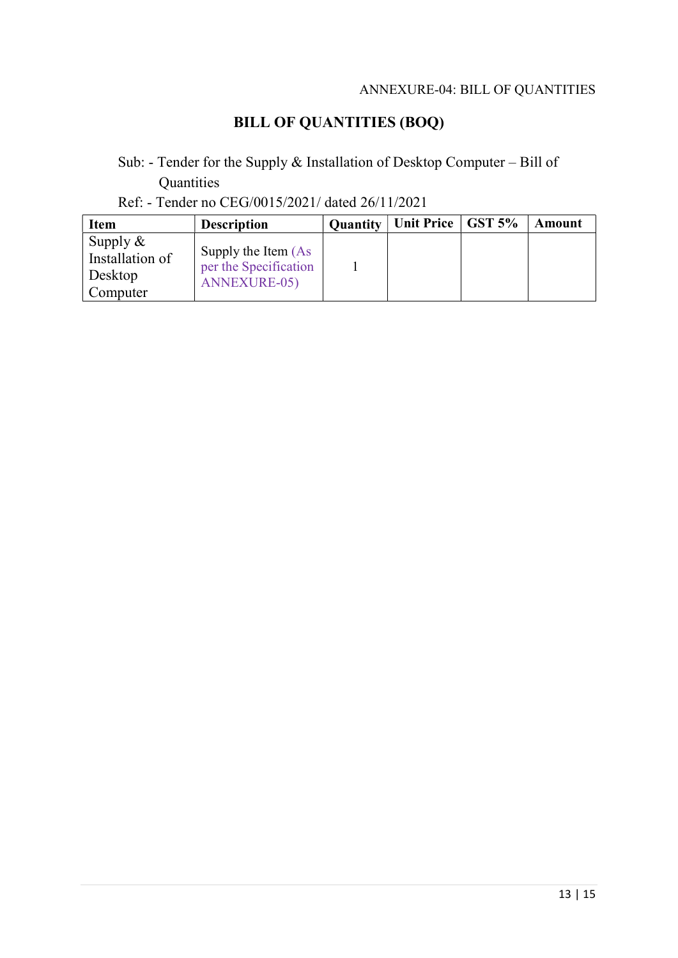#### ANNEXURE-04: BILL OF QUANTITIES

# BILL OF QUANTITIES (BOQ)

# Sub: - Tender for the Supply & Installation of Desktop Computer – Bill of **Quantities**

### Ref: - Tender no CEG/0015/2021/ dated 26/11/2021

| <b>Item</b>                                           | <b>Description</b>                                                  | <b>Quantity</b> | Unit Price   GST 5% | Amount |
|-------------------------------------------------------|---------------------------------------------------------------------|-----------------|---------------------|--------|
| Supply $\&$<br>Installation of<br>Desktop<br>Computer | Supply the Item (As<br>per the Specification<br><b>ANNEXURE-05)</b> |                 |                     |        |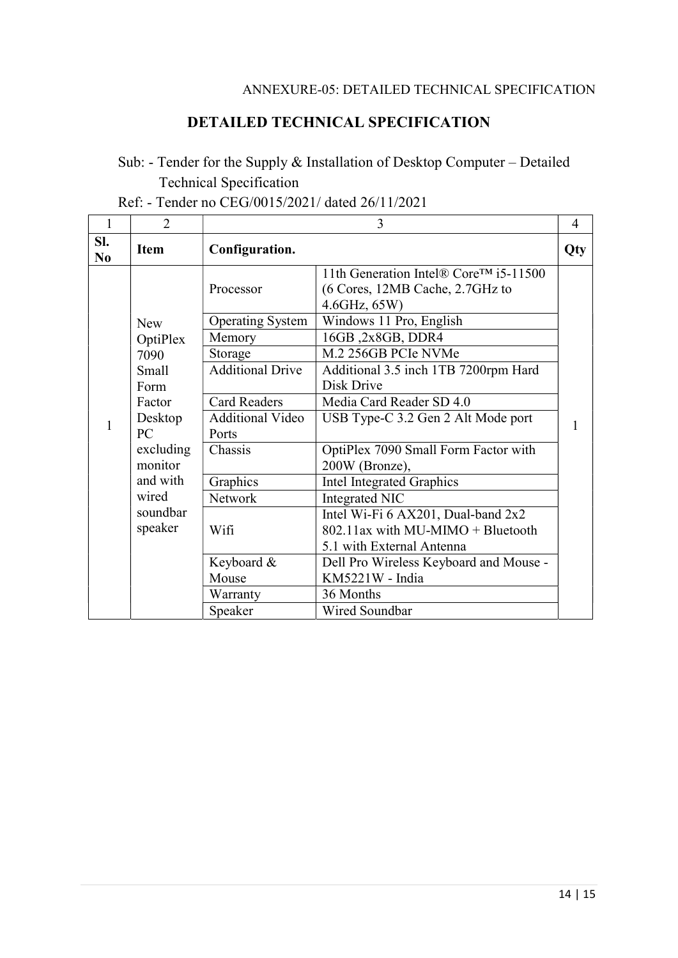#### ANNEXURE-05: DETAILED TECHNICAL SPECIFICATION

### DETAILED TECHNICAL SPECIFICATION

# Sub: - Tender for the Supply & Installation of Desktop Computer – Detailed Technical Specification

|  | Ref: - Tender no CEG/0015/2021/ dated 26/11/2021 |
|--|--------------------------------------------------|
|  |                                                  |

| 1                     | $\overline{2}$         | 3                                    |                                                                                                                         |     |
|-----------------------|------------------------|--------------------------------------|-------------------------------------------------------------------------------------------------------------------------|-----|
| SI.<br>N <sub>0</sub> | <b>Item</b>            | Configuration.                       |                                                                                                                         | Qty |
|                       |                        | Processor<br><b>Operating System</b> | 11th Generation Intel® Core™ i5-11500<br>(6 Cores, 12MB Cache, 2.7GHz to<br>$4.6$ GHz, $65W$<br>Windows 11 Pro, English |     |
|                       | <b>New</b><br>OptiPlex | Memory                               | 16GB, 2x8GB, DDR4                                                                                                       |     |
|                       | 7090                   | Storage                              | M.2 256GB PCIe NVMe                                                                                                     |     |
|                       | <b>Small</b><br>Form   | <b>Additional Drive</b>              | Additional 3.5 inch 1TB 7200rpm Hard<br>Disk Drive                                                                      |     |
|                       | Factor                 | <b>Card Readers</b>                  | Media Card Reader SD 4.0                                                                                                |     |
| $\mathbf{1}$          | Desktop<br>PC          | <b>Additional Video</b><br>Ports     | USB Type-C 3.2 Gen 2 Alt Mode port                                                                                      |     |
|                       | excluding<br>monitor   | Chassis                              | OptiPlex 7090 Small Form Factor with<br>200W (Bronze),                                                                  |     |
|                       | and with               | Graphics                             | <b>Intel Integrated Graphics</b>                                                                                        |     |
|                       | wired                  | <b>Network</b>                       | Integrated NIC                                                                                                          |     |
|                       | soundbar               |                                      | Intel Wi-Fi 6 AX201, Dual-band 2x2                                                                                      |     |
|                       | speaker                | Wifi                                 | 802.11ax with MU-MIMO + Bluetooth                                                                                       |     |
|                       |                        |                                      | 5.1 with External Antenna                                                                                               |     |
|                       |                        | Keyboard &                           | Dell Pro Wireless Keyboard and Mouse -                                                                                  |     |
|                       |                        | Mouse                                | KM5221W - India                                                                                                         |     |
|                       |                        | Warranty                             | 36 Months                                                                                                               |     |
|                       |                        | Speaker                              | Wired Soundbar                                                                                                          |     |